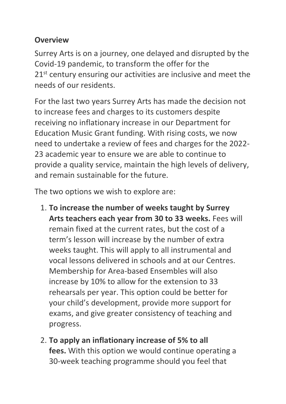## **Overview**

Surrey Arts is on a journey, one delayed and disrupted by the Covid-19 pandemic, to transform the offer for the 21<sup>st</sup> century ensuring our activities are inclusive and meet the needs of our residents. 

For the last two years Surrey Arts has made the decision not to increase fees and charges to its customers despite receiving no inflationary increase in our Department for Education Music Grant funding. With rising costs, we now need to undertake a review of fees and charges for the 2022- 23 academic year to ensure we are able to continue to provide a quality service, maintain the high levels of delivery, and remain sustainable for the future.

The two options we wish to explore are:

- 1. **To increase the number of weeks taught by Surrey Arts teachers each year from 30 to 33 weeks.** Fees will remain fixed at the current rates, but the cost of a term's lesson will increase by the number of extra weeks taught. This will apply to all instrumental and vocal lessons delivered in schools and at our Centres. Membership for Area-based Ensembles will also increase by 10% to allow for the extension to 33 rehearsals per year. This option could be better for your child's development, provide more support for exams, and give greater consistency of teaching and progress.
- 2. **To apply an inflationary increase of 5% to all fees.** With this option we would continue operating a 30-week teaching programme should you feel that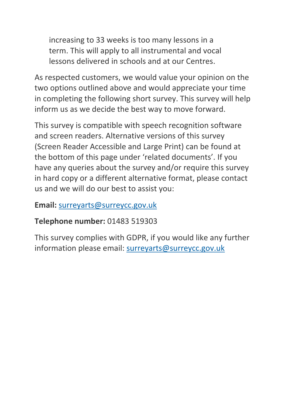increasing to 33 weeks is too many lessons in a term. This will apply to all instrumental and vocal lessons delivered in schools and at our Centres.

As respected customers, we would value your opinion on the two options outlined above and would appreciate your time in completing the following short survey. This survey will help inform us as we decide the best way to move forward.

This survey is compatible with speech recognition software and screen readers. Alternative versions of this survey (Screen Reader Accessible and Large Print) can be found at the bottom of this page under 'related documents'. If you have any queries about the survey and/or require this survey in hard copy or a different alternative format, please contact us and we will do our best to assist you:

## **Email:** [surreyarts@surreycc.gov.uk](mailto:surreyarts@surreycc.gov.uk)

## **Telephone number:** 01483 519303

This survey complies with GDPR, if you would like any further information please email: surreyarts@surreycc.gov.uk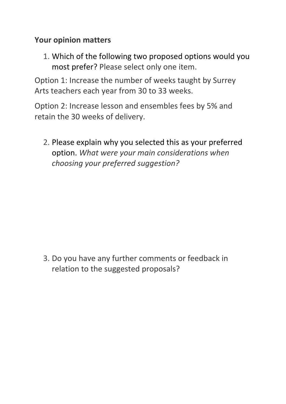## **Your opinion matters**

1. Which of the following two proposed options would you most prefer? Please select only one item.

Option 1: Increase the number of weeks taught by Surrey Arts teachers each year from 30 to 33 weeks.

Option 2: Increase lesson and ensembles fees by 5% and retain the 30 weeks of delivery.

2. Please explain why you selected this as your preferred option. *What were your main considerations when choosing your preferred suggestion?*

3. Do you have any further comments or feedback in relation to the suggested proposals?